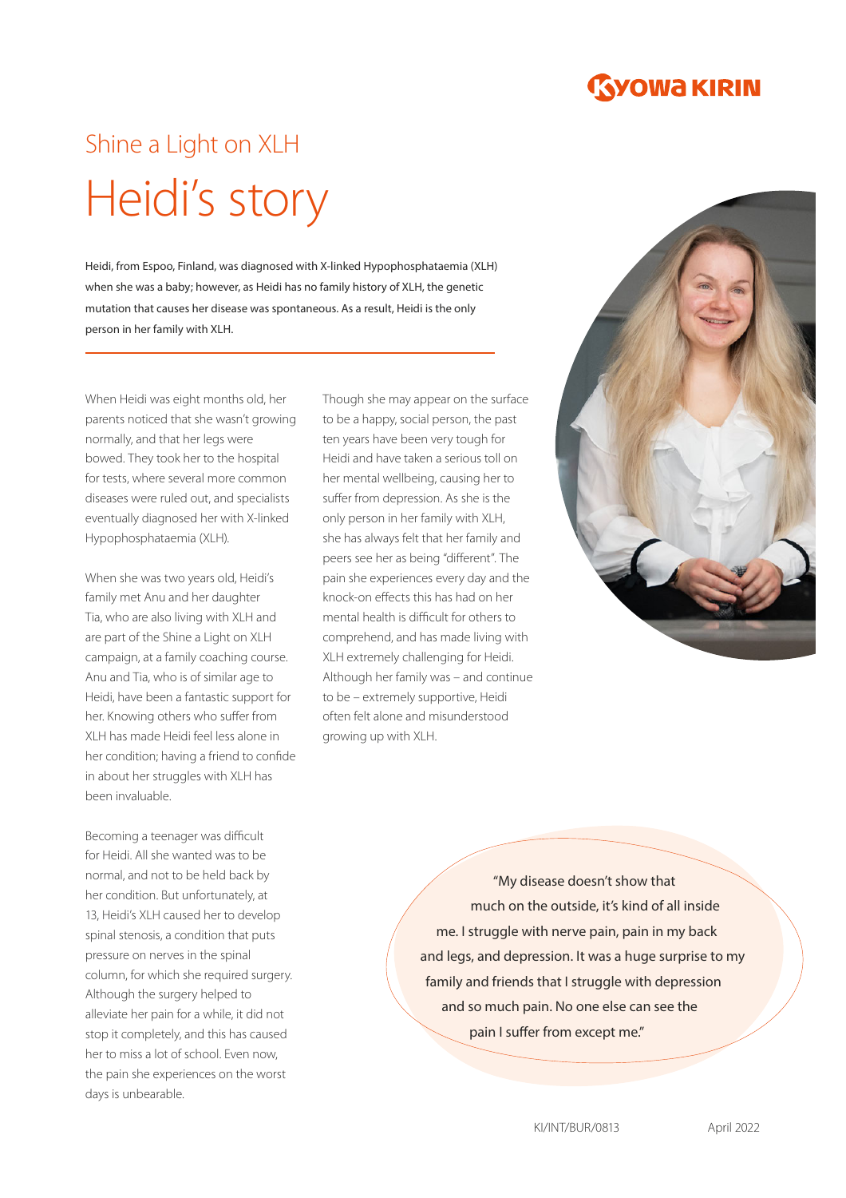

## Shine a Light on XLH Heidi's story

Heidi, from Espoo, Finland, was diagnosed with X-linked Hypophosphataemia (XLH) when she was a baby; however, as Heidi has no family history of XLH, the genetic mutation that causes her disease was spontaneous. As a result, Heidi is the only person in her family with XLH.

When Heidi was eight months old, her parents noticed that she wasn't growing normally, and that her legs were bowed. They took her to the hospital for tests, where several more common diseases were ruled out, and specialists eventually diagnosed her with X-linked Hypophosphataemia (XLH).

When she was two years old, Heidi's family met Anu and her daughter Tia, who are also living with XLH and are part of the Shine a Light on XLH campaign, at a family coaching course. Anu and Tia, who is of similar age to Heidi, have been a fantastic support for her. Knowing others who suffer from XLH has made Heidi feel less alone in her condition; having a friend to confide in about her struggles with XLH has been invaluable.

Becoming a teenager was difficult for Heidi. All she wanted was to be normal, and not to be held back by her condition. But unfortunately, at 13, Heidi's XLH caused her to develop spinal stenosis, a condition that puts pressure on nerves in the spinal column, for which she required surgery. Although the surgery helped to alleviate her pain for a while, it did not stop it completely, and this has caused her to miss a lot of school. Even now, the pain she experiences on the worst days is unbearable.

Though she may appear on the surface to be a happy, social person, the past ten years have been very tough for Heidi and have taken a serious toll on her mental wellbeing, causing her to suffer from depression. As she is the only person in her family with XLH, she has always felt that her family and peers see her as being "different". The pain she experiences every day and the knock-on effects this has had on her mental health is difficult for others to comprehend, and has made living with XLH extremely challenging for Heidi. Although her family was – and continue to be – extremely supportive, Heidi often felt alone and misunderstood growing up with XLH.



"My disease doesn't show that much on the outside, it's kind of all inside me. I struggle with nerve pain, pain in my back and legs, and depression. It was a huge surprise to my family and friends that I struggle with depression and so much pain. No one else can see the pain I suffer from except me."